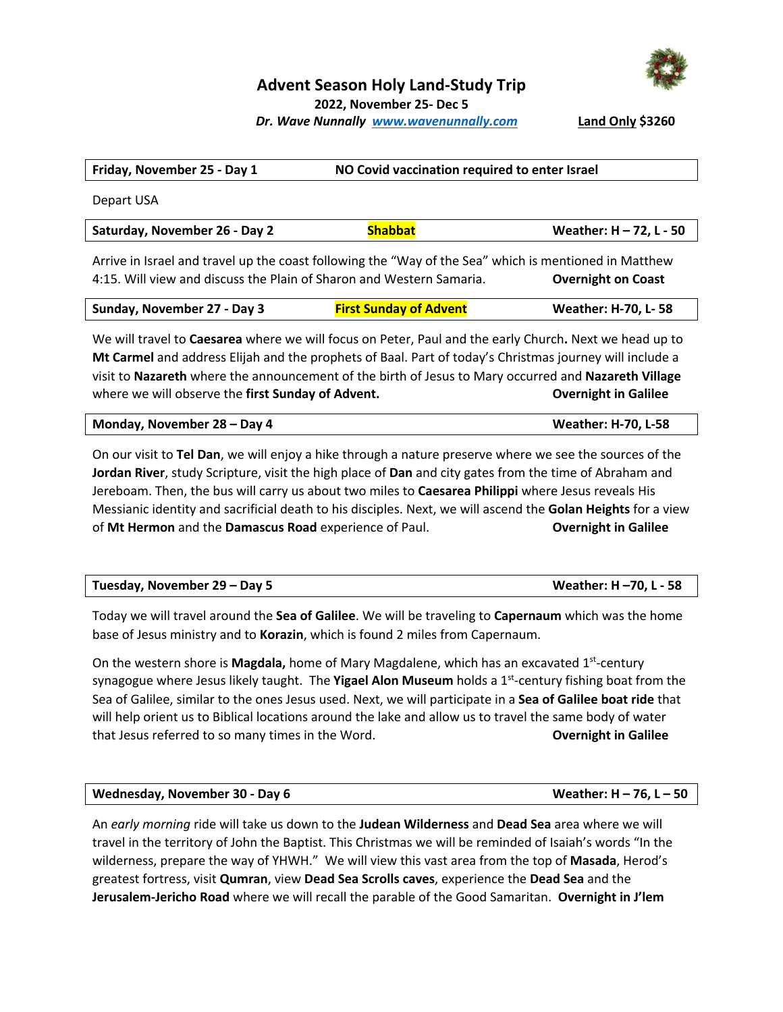

## **Advent Season Holy Land-Study Trip**

**2022, November 25- Dec 5**

*Dr. Wave Nunnally www.wavenunnally.com* 

|  |  | Land Only \$3260 |
|--|--|------------------|
|--|--|------------------|

| Friday, November 25 - Day 1                                                                           |                               | NO Covid vaccination required to enter Israel |  |
|-------------------------------------------------------------------------------------------------------|-------------------------------|-----------------------------------------------|--|
| Depart USA                                                                                            |                               |                                               |  |
| Saturday, November 26 - Day 2                                                                         | <b>Shabbat</b>                | Weather: H - 72, L - 50                       |  |
| Arrive in Israel and travel up the coast following the "Way of the Sea" which is mentioned in Matthew |                               |                                               |  |
| 4:15. Will view and discuss the Plain of Sharon and Western Samaria.                                  |                               | <b>Overnight on Coast</b>                     |  |
| Sunday, November 27 - Day 3                                                                           | <b>First Sunday of Advent</b> | <b>Weather: H-70, L-58</b>                    |  |

We will travel to **Caesarea** where we will focus on Peter, Paul and the early Church**.** Next we head up to **Mt Carmel** and address Elijah and the prophets of Baal. Part of today's Christmas journey will include a visit to **Nazareth** where the announcement of the birth of Jesus to Mary occurred and **Nazareth Village** where we will observe the **first Sunday of Advent. Conservery only only only in Galilee** 

| Monday, November 28 – Day 4 | <b>Weather: H-70, L-58</b> |
|-----------------------------|----------------------------|
|-----------------------------|----------------------------|

On our visit to **Tel Dan**, we will enjoy a hike through a nature preserve where we see the sources of the **Jordan River**, study Scripture, visit the high place of **Dan** and city gates from the time of Abraham and Jereboam. Then, the bus will carry us about two miles to **Caesarea Philippi** where Jesus reveals His Messianic identity and sacrificial death to his disciples. Next, we will ascend the **Golan Heights** for a view of **Mt Hermon** and the **Damascus Road** experience of Paul. **Overnight in Galilee**

| Tuesday, November 29 – Day 5 | Weather: H -70, L - 58 |
|------------------------------|------------------------|
|                              |                        |

Today we will travel around the **Sea of Galilee**. We will be traveling to **Capernaum** which was the home base of Jesus ministry and to **Korazin**, which is found 2 miles from Capernaum.

On the western shore is **Magdala,** home of Mary Magdalene, which has an excavated 1st-century synagogue where Jesus likely taught. The **Yigael Alon Museum** holds a 1st-century fishing boat from the Sea of Galilee, similar to the ones Jesus used. Next, we will participate in a **Sea of Galilee boat ride** that will help orient us to Biblical locations around the lake and allow us to travel the same body of water that Jesus referred to so many times in the Word. **Overnight in Galilee**

### **Wednesday, November 30 - Day 6 Weather: H – 76, L – 50**

An *early morning* ride will take us down to the **Judean Wilderness** and **Dead Sea** area where we will travel in the territory of John the Baptist. This Christmas we will be reminded of Isaiah's words "In the wilderness, prepare the way of YHWH." We will view this vast area from the top of **Masada**, Herod's greatest fortress, visit **Qumran**, view **Dead Sea Scrolls caves**, experience the **Dead Sea** and the **Jerusalem-Jericho Road** where we will recall the parable of the Good Samaritan. **Overnight in J'lem**